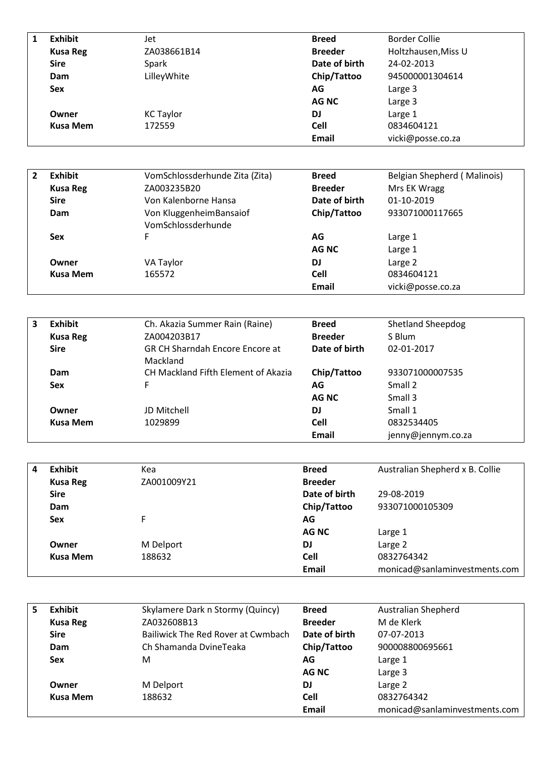| <b>Exhibit</b>  | Jet              | <b>Breed</b>   | <b>Border Collie</b> |
|-----------------|------------------|----------------|----------------------|
| <b>Kusa Reg</b> | ZA038661B14      | <b>Breeder</b> | Holtzhausen, Miss U  |
| <b>Sire</b>     | Spark            | Date of birth  | 24-02-2013           |
| Dam             | LilleyWhite      | Chip/Tattoo    | 945000001304614      |
| <b>Sex</b>      |                  | AG             | Large 3              |
|                 |                  | <b>AG NC</b>   | Large 3              |
| Owner           | <b>KC Taylor</b> | <b>DJ</b>      | Large 1              |
| <b>Kusa Mem</b> | 172559           | <b>Cell</b>    | 0834604121           |
|                 |                  | <b>Email</b>   | vicki@posse.co.za    |

| Exhibit         | VomSchlossderhunde Zita (Zita) | <b>Breed</b>   | Belgian Shepherd (Malinois) |
|-----------------|--------------------------------|----------------|-----------------------------|
| <b>Kusa Reg</b> | ZA003235B20                    | <b>Breeder</b> | Mrs EK Wragg                |
| <b>Sire</b>     | Von Kalenborne Hansa           | Date of birth  | 01-10-2019                  |
| Dam             | Von KluggenheimBansaiof        | Chip/Tattoo    | 933071000117665             |
|                 | VomSchlossderhunde             |                |                             |
| <b>Sex</b>      | F.                             | AG             | Large 1                     |
|                 |                                | AG NC          | Large 1                     |
| Owner           | VA Taylor                      | <b>DJ</b>      | Large 2                     |
| <b>Kusa Mem</b> | 165572                         | <b>Cell</b>    | 0834604121                  |
|                 |                                | Email          | vicki@posse.co.za           |

| 3 | <b>Exhibit</b>  | Ch. Akazia Summer Rain (Raine)                     | <b>Breed</b>   | <b>Shetland Sheepdog</b> |
|---|-----------------|----------------------------------------------------|----------------|--------------------------|
|   | <b>Kusa Reg</b> | ZA004203B17                                        | <b>Breeder</b> | S Blum                   |
|   | <b>Sire</b>     | <b>GR CH Sharndah Encore Encore at</b><br>Mackland | Date of birth  | 02-01-2017               |
|   | Dam             | CH Mackland Fifth Element of Akazia                | Chip/Tattoo    | 933071000007535          |
|   | <b>Sex</b>      | F.                                                 | AG.            | Small 2                  |
|   |                 |                                                    | <b>AG NC</b>   | Small 3                  |
|   | Owner           | JD Mitchell                                        | DJ             | Small 1                  |
|   | <b>Kusa Mem</b> | 1029899                                            | <b>Cell</b>    | 0832534405               |
|   |                 |                                                    | Email          | jenny@jennym.co.za       |

| 4 | <b>Exhibit</b>  | Kea         | <b>Breed</b>   | Australian Shepherd x B. Collie |
|---|-----------------|-------------|----------------|---------------------------------|
|   | <b>Kusa Reg</b> | ZA001009Y21 | <b>Breeder</b> |                                 |
|   | <b>Sire</b>     |             | Date of birth  | 29-08-2019                      |
|   | Dam             |             | Chip/Tattoo    | 933071000105309                 |
|   | <b>Sex</b>      |             | AG             |                                 |
|   |                 |             | <b>AG NC</b>   | Large 1                         |
|   | Owner           | M Delport   | DJ             | Large 2                         |
|   | <b>Kusa Mem</b> | 188632      | <b>Cell</b>    | 0832764342                      |
|   |                 |             | Email          | monicad@sanlaminvestments.com   |

| 5 | Exhibit         | Skylamere Dark n Stormy (Quincy)   | <b>Breed</b>   | <b>Australian Shepherd</b>    |
|---|-----------------|------------------------------------|----------------|-------------------------------|
|   | <b>Kusa Reg</b> | ZA032608B13                        | <b>Breeder</b> | M de Klerk                    |
|   | <b>Sire</b>     | Bailiwick The Red Rover at Cwmbach | Date of birth  | 07-07-2013                    |
|   | Dam             | Ch Shamanda DvineTeaka             | Chip/Tattoo    | 900008800695661               |
|   | <b>Sex</b>      | м                                  | AG             | Large 1                       |
|   |                 |                                    | AG NC          | Large 3                       |
|   | Owner           | M Delport                          | DJ             | Large 2                       |
|   | Kusa Mem        | 188632                             | Cell           | 0832764342                    |
|   |                 |                                    | <b>Email</b>   | monicad@sanlaminvestments.com |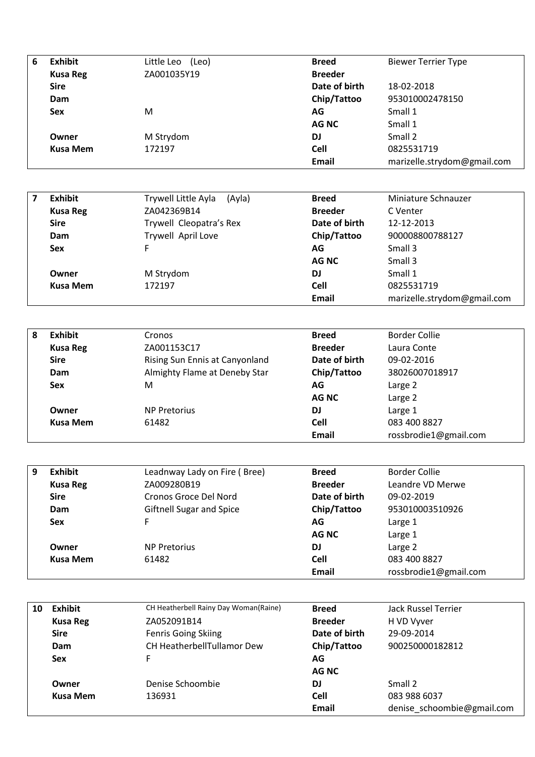| 6 | <b>Exhibit</b>  | Little Leo<br>(Leo) | <b>Breed</b>   | <b>Biewer Terrier Type</b>  |
|---|-----------------|---------------------|----------------|-----------------------------|
|   | <b>Kusa Reg</b> | ZA001035Y19         | <b>Breeder</b> |                             |
|   | <b>Sire</b>     |                     | Date of birth  | 18-02-2018                  |
|   | Dam             |                     | Chip/Tattoo    | 953010002478150             |
|   | <b>Sex</b>      | M                   | AG             | Small 1                     |
|   |                 |                     | AG NC          | Small 1                     |
|   | Owner           | M Strydom           | <b>DJ</b>      | Small 2                     |
|   | <b>Kusa Mem</b> | 172197              | <b>Cell</b>    | 0825531719                  |
|   |                 |                     | <b>Email</b>   | marizelle.strydom@gmail.com |

| Exhibit         | Trywell Little Ayla<br>(Ayla) | <b>Breed</b>   | Miniature Schnauzer         |
|-----------------|-------------------------------|----------------|-----------------------------|
| <b>Kusa Reg</b> | ZA042369B14                   | <b>Breeder</b> | C Venter                    |
| <b>Sire</b>     | Trywell Cleopatra's Rex       | Date of birth  | 12-12-2013                  |
| Dam             | Trywell April Love            | Chip/Tattoo    | 900008800788127             |
| <b>Sex</b>      | F.                            | AG             | Small 3                     |
|                 |                               | AG NC          | Small 3                     |
| Owner           | M Strydom                     | DJ             | Small 1                     |
| Kusa Mem        | 172197                        | <b>Cell</b>    | 0825531719                  |
|                 |                               | Email          | marizelle.strydom@gmail.com |

| 8 | Exhibit         | <b>Cronos</b>                  | <b>Breed</b>   | Border Collie         |
|---|-----------------|--------------------------------|----------------|-----------------------|
|   | <b>Kusa Reg</b> | ZA001153C17                    | <b>Breeder</b> | Laura Conte           |
|   | <b>Sire</b>     | Rising Sun Ennis at Canyonland | Date of birth  | 09-02-2016            |
|   | Dam             | Almighty Flame at Deneby Star  | Chip/Tattoo    | 38026007018917        |
|   | <b>Sex</b>      | м                              | AG             | Large 2               |
|   |                 |                                | AG NC          | Large 2               |
|   | Owner           | <b>NP Pretorius</b>            | <b>DJ</b>      | Large 1               |
|   | Kusa Mem        | 61482                          | <b>Cell</b>    | 083 400 8827          |
|   |                 |                                | Email          | rossbrodie1@gmail.com |

| 9 | <b>Exhibit</b>  | Leadnway Lady on Fire (Bree)    | <b>Breed</b>   | <b>Border Collie</b>  |
|---|-----------------|---------------------------------|----------------|-----------------------|
|   | <b>Kusa Reg</b> | ZA009280B19                     | <b>Breeder</b> | Leandre VD Merwe      |
|   | <b>Sire</b>     | Cronos Groce Del Nord           | Date of birth  | 09-02-2019            |
|   | Dam             | <b>Giftnell Sugar and Spice</b> | Chip/Tattoo    | 953010003510926       |
|   | <b>Sex</b>      | F.                              | AG             | Large 1               |
|   |                 |                                 | AG NC          | Large 1               |
|   | Owner           | <b>NP Pretorius</b>             | DJ             | Large 2               |
|   | <b>Kusa Mem</b> | 61482                           | <b>Cell</b>    | 083 400 8827          |
|   |                 |                                 | <b>Email</b>   | rossbrodie1@gmail.com |

| 10 | Exhibit         | CH Heatherbell Rainy Day Woman(Raine) | <b>Breed</b>   | Jack Russel Terrier        |
|----|-----------------|---------------------------------------|----------------|----------------------------|
|    | <b>Kusa Reg</b> | ZA052091B14                           | <b>Breeder</b> | H VD Vyver                 |
|    | <b>Sire</b>     | <b>Fenris Going Skiing</b>            | Date of birth  | 29-09-2014                 |
|    | Dam             | CH HeatherbellTullamor Dew            | Chip/Tattoo    | 900250000182812            |
|    | Sex             | F                                     | AG             |                            |
|    |                 |                                       | <b>AG NC</b>   |                            |
|    | Owner           | Denise Schoombie                      | DJ             | Small 2                    |
|    | <b>Kusa Mem</b> | 136931                                | <b>Cell</b>    | 083 988 6037               |
|    |                 |                                       | <b>Email</b>   | denise schoombie@gmail.com |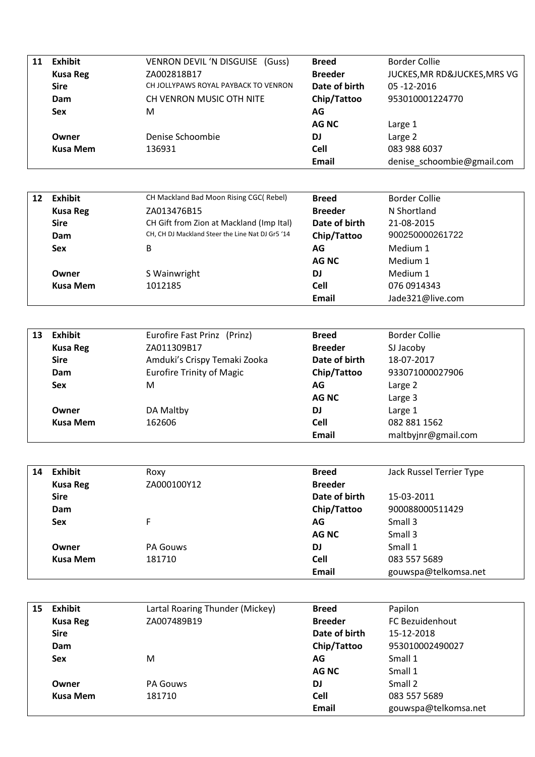| JUCKES, MR RD&JUCKES, MRS VG |
|------------------------------|
|                              |
|                              |
|                              |
|                              |
|                              |
|                              |
| denise_schoombie@gmail.com   |
|                              |

| 12 | <b>Exhibit</b>  | CH Mackland Bad Moon Rising CGC(Rebel)           | <b>Breed</b>   | <b>Border Collie</b> |
|----|-----------------|--------------------------------------------------|----------------|----------------------|
|    | <b>Kusa Reg</b> | ZA013476B15                                      | <b>Breeder</b> | N Shortland          |
|    | <b>Sire</b>     | CH Gift from Zion at Mackland (Imp Ital)         | Date of birth  | 21-08-2015           |
|    | Dam             | CH, CH DJ Mackland Steer the Line Nat DJ Gr5 '14 | Chip/Tattoo    | 900250000261722      |
|    | <b>Sex</b>      | B                                                | AG             | Medium 1             |
|    |                 |                                                  | <b>AG NC</b>   | Medium 1             |
|    | Owner           | S Wainwright                                     | <b>DJ</b>      | Medium 1             |
|    | <b>Kusa Mem</b> | 1012185                                          | <b>Cell</b>    | 076 0914343          |
|    |                 |                                                  | Email          | Jade321@live.com     |

| 13 | <b>Exhibit</b>  | Eurofire Fast Prinz (Prinz)      | <b>Breed</b>   | <b>Border Collie</b> |
|----|-----------------|----------------------------------|----------------|----------------------|
|    | <b>Kusa Reg</b> | ZA011309B17                      | <b>Breeder</b> | SJ Jacoby            |
|    | <b>Sire</b>     | Amduki's Crispy Temaki Zooka     | Date of birth  | 18-07-2017           |
|    | Dam             | <b>Eurofire Trinity of Magic</b> | Chip/Tattoo    | 933071000027906      |
|    | <b>Sex</b>      | M                                | AG             | Large 2              |
|    |                 |                                  | <b>AG NC</b>   | Large 3              |
|    | Owner           | DA Maltby                        | DJ             | Large 1              |
|    | <b>Kusa Mem</b> | 162606                           | <b>Cell</b>    | 082 881 1562         |
|    |                 |                                  | Email          | maltbyjnr@gmail.com  |

| 14 | <b>Exhibit</b>  | Roxy            | <b>Breed</b>   | Jack Russel Terrier Type |
|----|-----------------|-----------------|----------------|--------------------------|
|    | <b>Kusa Reg</b> | ZA000100Y12     | <b>Breeder</b> |                          |
|    | <b>Sire</b>     |                 | Date of birth  | 15-03-2011               |
|    | Dam             |                 | Chip/Tattoo    | 900088000511429          |
|    | <b>Sex</b>      |                 | AG             | Small 3                  |
|    |                 |                 | <b>AG NC</b>   | Small 3                  |
|    | Owner           | <b>PA Gouws</b> | <b>DJ</b>      | Small 1                  |
|    | <b>Kusa Mem</b> | 181710          | <b>Cell</b>    | 083 557 5689             |
|    |                 |                 | <b>Email</b>   | gouwspa@telkomsa.net     |

| 15 | <b>Exhibit</b>  | Lartal Roaring Thunder (Mickey) | <b>Breed</b>   | Papilon                |
|----|-----------------|---------------------------------|----------------|------------------------|
|    | <b>Kusa Reg</b> | ZA007489B19                     | <b>Breeder</b> | <b>FC Bezuidenhout</b> |
|    | <b>Sire</b>     |                                 | Date of birth  | 15-12-2018             |
|    | Dam             |                                 | Chip/Tattoo    | 953010002490027        |
|    | <b>Sex</b>      | M                               | AG             | Small 1                |
|    |                 |                                 | AG NC          | Small 1                |
|    | Owner           | <b>PA Gouws</b>                 | <b>DJ</b>      | Small 2                |
|    | <b>Kusa Mem</b> | 181710                          | <b>Cell</b>    | 083 557 5689           |
|    |                 |                                 | <b>Email</b>   | gouwspa@telkomsa.net   |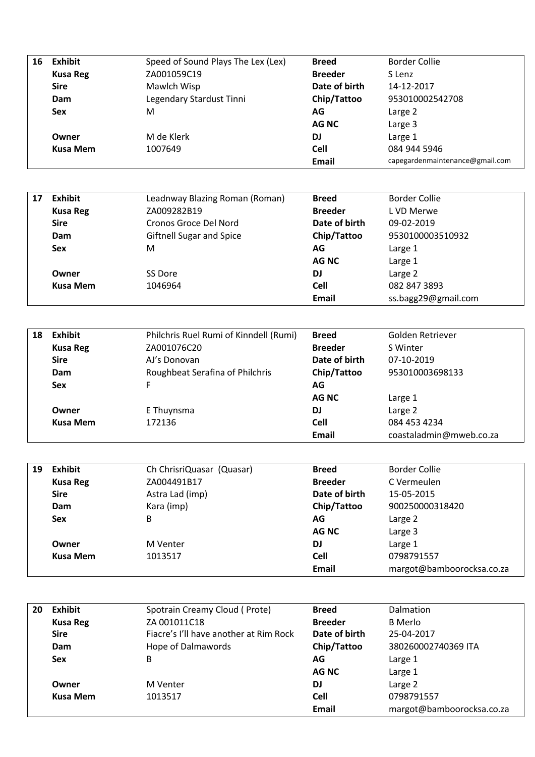| 16 | <b>Exhibit</b>  | Speed of Sound Plays The Lex (Lex) | <b>Breed</b>   | <b>Border Collie</b>            |
|----|-----------------|------------------------------------|----------------|---------------------------------|
|    | <b>Kusa Reg</b> | ZA001059C19                        | <b>Breeder</b> | S Lenz                          |
|    | <b>Sire</b>     | Mawlch Wisp                        | Date of birth  | 14-12-2017                      |
|    | Dam             | Legendary Stardust Tinni           | Chip/Tattoo    | 953010002542708                 |
|    | <b>Sex</b>      | M                                  | AG             | Large 2                         |
|    |                 |                                    | AG NC          | Large 3                         |
|    | Owner           | M de Klerk                         | <b>DJ</b>      | Large 1                         |
|    | Kusa Mem        | 1007649                            | <b>Cell</b>    | 084 944 5946                    |
|    |                 |                                    | <b>Email</b>   | capegardenmaintenance@gmail.com |

| 17 | <b>Exhibit</b>  | Leadnway Blazing Roman (Roman)  | <b>Breed</b>   | <b>Border Collie</b> |
|----|-----------------|---------------------------------|----------------|----------------------|
|    | <b>Kusa Reg</b> | ZA009282B19                     | <b>Breeder</b> | L VD Merwe           |
|    | <b>Sire</b>     | Cronos Groce Del Nord           | Date of birth  | 09-02-2019           |
|    | Dam             | <b>Giftnell Sugar and Spice</b> | Chip/Tattoo    | 9530100003510932     |
|    | <b>Sex</b>      | M                               | AG             | Large 1              |
|    |                 |                                 | AG NC          | Large 1              |
|    | Owner           | SS Dore                         | DJ             | Large 2              |
|    | <b>Kusa Mem</b> | 1046964                         | <b>Cell</b>    | 082 847 3893         |
|    |                 |                                 | Email          | ss.bagg29@gmail.com  |

| 18 | <b>Exhibit</b>  | Philchris Ruel Rumi of Kinndell (Rumi) | <b>Breed</b>   | Golden Retriever        |
|----|-----------------|----------------------------------------|----------------|-------------------------|
|    |                 |                                        |                |                         |
|    | <b>Kusa Reg</b> | ZA001076C20                            | <b>Breeder</b> | S Winter                |
|    | <b>Sire</b>     | AJ's Donovan                           | Date of birth  | 07-10-2019              |
|    | Dam             | Roughbeat Serafina of Philchris        | Chip/Tattoo    | 953010003698133         |
|    | <b>Sex</b>      | F                                      | AG             |                         |
|    |                 |                                        | AG NC          | Large 1                 |
|    | Owner           | E Thuynsma                             | <b>DJ</b>      | Large 2                 |
|    | <b>Kusa Mem</b> | 172136                                 | <b>Cell</b>    | 084 453 4234            |
|    |                 |                                        | <b>Email</b>   | coastaladmin@mweb.co.za |

| 19 | <b>Exhibit</b>  | Ch ChrisriQuasar (Quasar) | <b>Breed</b>   | <b>Border Collie</b>      |
|----|-----------------|---------------------------|----------------|---------------------------|
|    | <b>Kusa Reg</b> | ZA004491B17               | <b>Breeder</b> | C Vermeulen               |
|    | <b>Sire</b>     | Astra Lad (imp)           | Date of birth  | 15-05-2015                |
|    | Dam             | Kara (imp)                | Chip/Tattoo    | 900250000318420           |
|    | <b>Sex</b>      | B                         | AG             | Large 2                   |
|    |                 |                           | AG NC          | Large 3                   |
|    | Owner           | M Venter                  | <b>DJ</b>      | Large 1                   |
|    | <b>Kusa Mem</b> | 1013517                   | <b>Cell</b>    | 0798791557                |
|    |                 |                           | Email          | margot@bamboorocksa.co.za |

| 20 | <b>Exhibit</b>  | Spotrain Creamy Cloud (Prote)          | <b>Breed</b>   | Dalmation                 |
|----|-----------------|----------------------------------------|----------------|---------------------------|
|    | <b>Kusa Reg</b> | ZA 001011C18                           | <b>Breeder</b> | <b>B</b> Merlo            |
|    | <b>Sire</b>     | Fiacre's I'll have another at Rim Rock | Date of birth  | 25-04-2017                |
|    | Dam             | <b>Hope of Dalmawords</b>              | Chip/Tattoo    | 380260002740369 ITA       |
|    | <b>Sex</b>      | B                                      | AG             | Large 1                   |
|    |                 |                                        | <b>AG NC</b>   | Large 1                   |
|    | Owner           | M Venter                               | <b>DJ</b>      | Large 2                   |
|    | <b>Kusa Mem</b> | 1013517                                | Cell           | 0798791557                |
|    |                 |                                        | Email          | margot@bamboorocksa.co.za |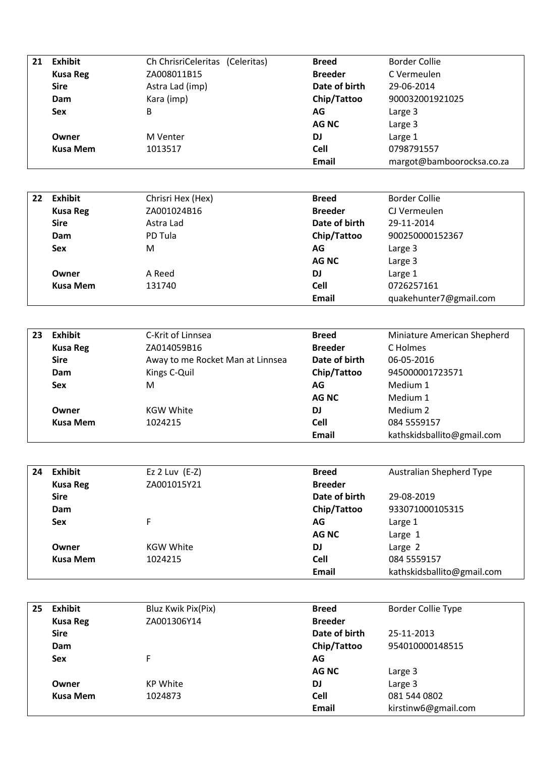| 21 | <b>Exhibit</b>  | Ch ChrisriCeleritas (Celeritas) | <b>Breed</b>   | <b>Border Collie</b>      |
|----|-----------------|---------------------------------|----------------|---------------------------|
|    | <b>Kusa Reg</b> | ZA008011B15                     | <b>Breeder</b> | C Vermeulen               |
|    | <b>Sire</b>     | Astra Lad (imp)                 | Date of birth  | 29-06-2014                |
|    | Dam             | Kara (imp)                      | Chip/Tattoo    | 900032001921025           |
|    | <b>Sex</b>      | В                               | AG             | Large 3                   |
|    |                 |                                 | AG NC          | Large 3                   |
|    | Owner           | M Venter                        | DJ             | Large 1                   |
|    | <b>Kusa Mem</b> | 1013517                         | Cell           | 0798791557                |
|    |                 |                                 | <b>Email</b>   | margot@bamboorocksa.co.za |

| 22 | <b>Exhibit</b>  | Chrisri Hex (Hex) | <b>Breed</b>   | <b>Border Collie</b>   |
|----|-----------------|-------------------|----------------|------------------------|
|    | <b>Kusa Reg</b> | ZA001024B16       | <b>Breeder</b> | CJ Vermeulen           |
|    | <b>Sire</b>     | Astra Lad         | Date of birth  | 29-11-2014             |
|    | Dam             | PD Tula           | Chip/Tattoo    | 900250000152367        |
|    | <b>Sex</b>      | M                 | AG             | Large 3                |
|    |                 |                   | <b>AG NC</b>   | Large 3                |
|    | Owner           | A Reed            | <b>DJ</b>      | Large 1                |
|    | <b>Kusa Mem</b> | 131740            | <b>Cell</b>    | 0726257161             |
|    |                 |                   | Email          | quakehunter7@gmail.com |

| 23 | <b>Exhibit</b>  | C-Krit of Linnsea                | <b>Breed</b>   | Miniature American Shepherd |
|----|-----------------|----------------------------------|----------------|-----------------------------|
|    | <b>Kusa Reg</b> | ZA014059B16                      | <b>Breeder</b> | C Holmes                    |
|    | <b>Sire</b>     | Away to me Rocket Man at Linnsea | Date of birth  | 06-05-2016                  |
|    | Dam             | Kings C-Quil                     | Chip/Tattoo    | 945000001723571             |
|    | <b>Sex</b>      | M                                | AG             | Medium 1                    |
|    |                 |                                  | <b>AGNC</b>    | Medium 1                    |
|    | Owner           | <b>KGW White</b>                 | <b>DJ</b>      | Medium 2                    |
|    | Kusa Mem        | 1024215                          | <b>Cell</b>    | 084 5559157                 |
|    |                 |                                  | <b>Email</b>   | kathskidsballito@gmail.com  |

| 24 | <b>Exhibit</b>  | Ez $2$ Luv $(E-Z)$ | <b>Breed</b>   | <b>Australian Shepherd Type</b> |
|----|-----------------|--------------------|----------------|---------------------------------|
|    | <b>Kusa Reg</b> | ZA001015Y21        | <b>Breeder</b> |                                 |
|    | <b>Sire</b>     |                    | Date of birth  | 29-08-2019                      |
|    | Dam             |                    | Chip/Tattoo    | 933071000105315                 |
|    | <b>Sex</b>      | F                  | AG             | Large 1                         |
|    |                 |                    | AG NC          | Large 1                         |
|    | Owner           | <b>KGW White</b>   | <b>DJ</b>      | Large 2                         |
|    | <b>Kusa Mem</b> | 1024215            | <b>Cell</b>    | 084 5559157                     |
|    |                 |                    | Email          | kathskidsballito@gmail.com      |

| 25 | <b>Exhibit</b>  | Bluz Kwik Pix(Pix) | <b>Breed</b>   | <b>Border Collie Type</b> |
|----|-----------------|--------------------|----------------|---------------------------|
|    | <b>Kusa Reg</b> | ZA001306Y14        | <b>Breeder</b> |                           |
|    | <b>Sire</b>     |                    | Date of birth  | 25-11-2013                |
|    | Dam             |                    | Chip/Tattoo    | 954010000148515           |
|    | <b>Sex</b>      | F                  | AG             |                           |
|    |                 |                    | <b>AGNC</b>    | Large 3                   |
|    | Owner           | <b>KP White</b>    | <b>DJ</b>      | Large 3                   |
|    | <b>Kusa Mem</b> | 1024873            | <b>Cell</b>    | 081 544 0802              |
|    |                 |                    | Email          | kirstinw6@gmail.com       |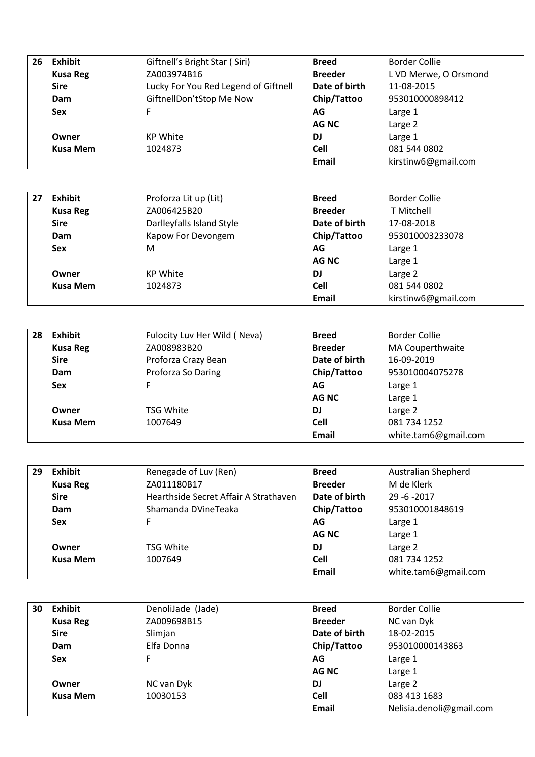| <b>Exhibit</b>  | Giftnell's Bright Star (Siri)        | <b>Breed</b>   | Border Collie         |
|-----------------|--------------------------------------|----------------|-----------------------|
| <b>Kusa Reg</b> | ZA003974B16                          | <b>Breeder</b> | L VD Merwe, O Orsmond |
| <b>Sire</b>     | Lucky For You Red Legend of Giftnell | Date of birth  | 11-08-2015            |
| Dam             | GiftnellDon'tStop Me Now             | Chip/Tattoo    | 953010000898412       |
| <b>Sex</b>      | F                                    | AG             | Large 1               |
|                 |                                      | AG NC          | Large 2               |
| Owner           | <b>KP White</b>                      | DJ             | Large 1               |
| <b>Kusa Mem</b> | 1024873                              | <b>Cell</b>    | 081 544 0802          |
|                 |                                      | <b>Email</b>   | kirstinw6@gmail.com   |
|                 |                                      |                |                       |

| 27 | <b>Exhibit</b>  | Proforza Lit up (Lit)     | <b>Breed</b>   | <b>Border Collie</b> |
|----|-----------------|---------------------------|----------------|----------------------|
|    | <b>Kusa Reg</b> | ZA006425B20               | <b>Breeder</b> | <b>T</b> Mitchell    |
|    | <b>Sire</b>     | Darlleyfalls Island Style | Date of birth  | 17-08-2018           |
|    | Dam             | Kapow For Devongem        | Chip/Tattoo    | 953010003233078      |
|    | <b>Sex</b>      | M                         | AG             | Large 1              |
|    |                 |                           | AG NC          | Large 1              |
|    | Owner           | <b>KP White</b>           | <b>DJ</b>      | Large 2              |
|    | Kusa Mem        | 1024873                   | <b>Cell</b>    | 081 544 0802         |
|    |                 |                           | Email          | kirstinw6@gmail.com  |

| 28 | <b>Exhibit</b>  | Fulocity Luv Her Wild (Neva) | <b>Breed</b>   | <b>Border Collie</b> |
|----|-----------------|------------------------------|----------------|----------------------|
|    | <b>Kusa Reg</b> | ZA008983B20                  | <b>Breeder</b> | MA Couperthwaite     |
|    | <b>Sire</b>     | Proforza Crazy Bean          | Date of birth  | 16-09-2019           |
|    | Dam             | Proforza So Daring           | Chip/Tattoo    | 953010004075278      |
|    | <b>Sex</b>      | F                            | AG             | Large 1              |
|    |                 |                              | AG NC          | Large 1              |
|    | Owner           | TSG White                    | DJ             | Large 2              |
|    | <b>Kusa Mem</b> | 1007649                      | <b>Cell</b>    | 081 734 1252         |
|    |                 |                              | Email          | white.tam6@gmail.com |

| 29 | <b>Exhibit</b>  | Renegade of Luv (Ren)                 | <b>Breed</b>   | Australian Shepherd  |
|----|-----------------|---------------------------------------|----------------|----------------------|
|    | <b>Kusa Reg</b> | ZA011180B17                           | <b>Breeder</b> | M de Klerk           |
|    | <b>Sire</b>     | Hearthside Secret Affair A Strathaven | Date of birth  | $29 - 6 - 2017$      |
|    | Dam             | Shamanda DVineTeaka                   | Chip/Tattoo    | 953010001848619      |
|    | <b>Sex</b>      | F                                     | AG             | Large 1              |
|    |                 |                                       | AG NC          | Large 1              |
|    | Owner           | TSG White                             | DJ             | Large 2              |
|    | <b>Kusa Mem</b> | 1007649                               | <b>Cell</b>    | 081 734 1252         |
|    |                 |                                       | Email          | white.tam6@gmail.com |

| 30 | Exhibit         | DenoliJade (Jade) | <b>Breed</b>   | <b>Border Collie</b>     |
|----|-----------------|-------------------|----------------|--------------------------|
|    | <b>Kusa Reg</b> | ZA009698B15       | <b>Breeder</b> | NC van Dyk               |
|    | <b>Sire</b>     | Slimjan           | Date of birth  | 18-02-2015               |
|    | Dam             | Elfa Donna        | Chip/Tattoo    | 953010000143863          |
|    | <b>Sex</b>      | F                 | AG             | Large 1                  |
|    |                 |                   | <b>AGNC</b>    | Large 1                  |
|    | Owner           | NC van Dyk        | DJ             | Large 2                  |
|    | <b>Kusa Mem</b> | 10030153          | <b>Cell</b>    | 083 413 1683             |
|    |                 |                   | <b>Email</b>   | Nelisia.denoli@gmail.com |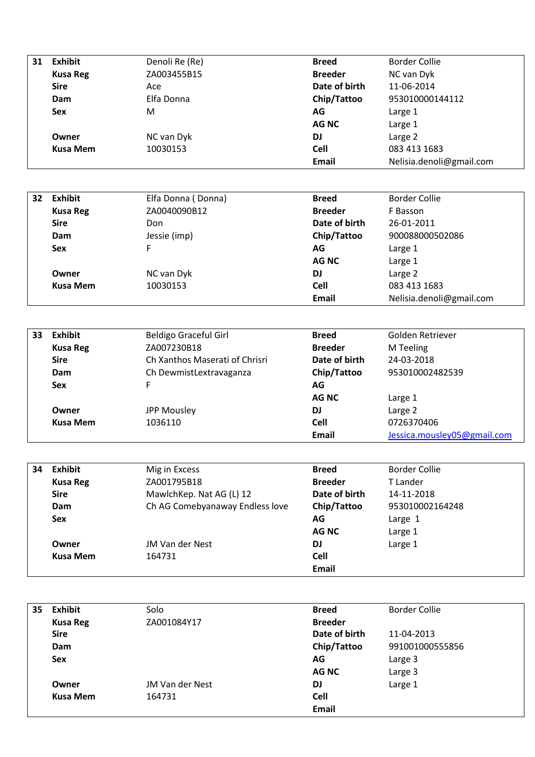| 31 | <b>Exhibit</b>  | Denoli Re (Re) | <b>Breed</b>   | Border Collie            |
|----|-----------------|----------------|----------------|--------------------------|
|    | <b>Kusa Reg</b> | ZA003455B15    | <b>Breeder</b> | NC van Dyk               |
|    | <b>Sire</b>     | Ace            | Date of birth  | 11-06-2014               |
|    | Dam             | Elfa Donna     | Chip/Tattoo    | 953010000144112          |
|    | Sex             | M              | AG             | Large 1                  |
|    |                 |                | <b>AGNC</b>    | Large 1                  |
|    | Owner           | NC van Dyk     | DJ             | Large 2                  |
|    | <b>Kusa Mem</b> | 10030153       | Cell           | 083 413 1683             |
|    |                 |                | <b>Email</b>   | Nelisia.denoli@gmail.com |

| 32 | <b>Exhibit</b>  | Elfa Donna (Donna) | <b>Breed</b>   | <b>Border Collie</b>     |
|----|-----------------|--------------------|----------------|--------------------------|
|    | <b>Kusa Reg</b> | ZA0040090B12       | <b>Breeder</b> | F Basson                 |
|    | <b>Sire</b>     | Don                | Date of birth  | 26-01-2011               |
|    | Dam             | Jessie (imp)       | Chip/Tattoo    | 900088000502086          |
|    | <b>Sex</b>      | F                  | AG             | Large 1                  |
|    |                 |                    | <b>AGNC</b>    | Large 1                  |
|    | Owner           | NC van Dyk         | <b>DJ</b>      | Large 2                  |
|    | <b>Kusa Mem</b> | 10030153           | <b>Cell</b>    | 083 413 1683             |
|    |                 |                    | <b>Email</b>   | Nelisia.denoli@gmail.com |

| 33 | <b>Exhibit</b>  | <b>Beldigo Graceful Girl</b>   | <b>Breed</b>   | Golden Retriever            |
|----|-----------------|--------------------------------|----------------|-----------------------------|
|    | <b>Kusa Reg</b> | ZA007230B18                    | <b>Breeder</b> | M Teeling                   |
|    | <b>Sire</b>     | Ch Xanthos Maserati of Chrisri | Date of birth  | 24-03-2018                  |
|    | Dam             | Ch DewmistLextravaganza        | Chip/Tattoo    | 953010002482539             |
|    | <b>Sex</b>      |                                | AG             |                             |
|    |                 |                                | AG NC          | Large 1                     |
|    | Owner           | JPP Mousley                    | DJ             | Large 2                     |
|    | <b>Kusa Mem</b> | 1036110                        | Cell           | 0726370406                  |
|    |                 |                                | <b>Email</b>   | Jessica.mousley05@gmail.com |

| 34 | <b>Exhibit</b>  | Mig in Excess                   | <b>Breed</b>   | <b>Border Collie</b> |
|----|-----------------|---------------------------------|----------------|----------------------|
|    | <b>Kusa Reg</b> | ZA001795B18                     | <b>Breeder</b> | T Lander             |
|    | <b>Sire</b>     | MawlchKep. Nat AG (L) 12        | Date of birth  | 14-11-2018           |
|    | Dam             | Ch AG Comebyanaway Endless love | Chip/Tattoo    | 953010002164248      |
|    | <b>Sex</b>      |                                 | AG             | Large 1              |
|    |                 |                                 | <b>AGNC</b>    | Large 1              |
|    | Owner           | JM Van der Nest                 | DJ             | Large 1              |
|    | <b>Kusa Mem</b> | 164731                          | <b>Cell</b>    |                      |
|    |                 |                                 | Email          |                      |

| 35 | <b>Exhibit</b>  | Solo            | <b>Breed</b>   | <b>Border Collie</b> |
|----|-----------------|-----------------|----------------|----------------------|
|    | <b>Kusa Reg</b> | ZA001084Y17     | <b>Breeder</b> |                      |
|    | <b>Sire</b>     |                 | Date of birth  | 11-04-2013           |
|    | Dam             |                 | Chip/Tattoo    | 991001000555856      |
|    | <b>Sex</b>      |                 | AG             | Large 3              |
|    |                 |                 | <b>AG NC</b>   | Large 3              |
|    | Owner           | JM Van der Nest | <b>DJ</b>      | Large 1              |
|    | <b>Kusa Mem</b> | 164731          | <b>Cell</b>    |                      |
|    |                 |                 | Email          |                      |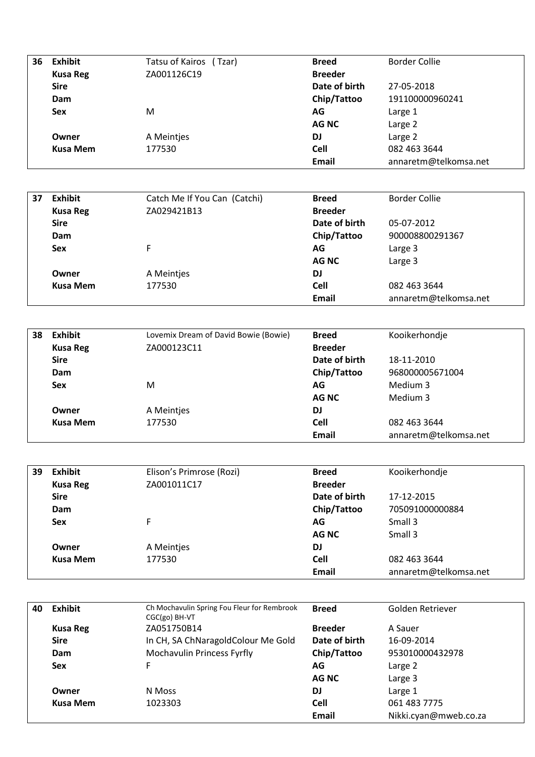| 36 | <b>Exhibit</b>  | Tatsu of Kairos (Tzar) | <b>Breed</b>   | Border Collie         |
|----|-----------------|------------------------|----------------|-----------------------|
|    | <b>Kusa Reg</b> | ZA001126C19            | <b>Breeder</b> |                       |
|    | <b>Sire</b>     |                        | Date of birth  | 27-05-2018            |
|    | Dam             |                        | Chip/Tattoo    | 191100000960241       |
|    | <b>Sex</b>      | M                      | AG             | Large 1               |
|    |                 |                        | <b>AGNC</b>    | Large 2               |
|    | Owner           | A Meintjes             | DJ.            | Large 2               |
|    | <b>Kusa Mem</b> | 177530                 | <b>Cell</b>    | 082 463 3644          |
|    |                 |                        | <b>Email</b>   | annaretm@telkomsa.net |

| 37 | Exhibit         | Catch Me If You Can (Catchi) | <b>Breed</b>   | <b>Border Collie</b>  |
|----|-----------------|------------------------------|----------------|-----------------------|
|    | <b>Kusa Reg</b> | ZA029421B13                  | <b>Breeder</b> |                       |
|    | <b>Sire</b>     |                              | Date of birth  | 05-07-2012            |
|    | Dam             |                              | Chip/Tattoo    | 900008800291367       |
|    | <b>Sex</b>      | F.                           | AG             | Large 3               |
|    |                 |                              | <b>AGNC</b>    | Large 3               |
|    | Owner           | A Meintjes                   | <b>DJ</b>      |                       |
|    | <b>Kusa Mem</b> | 177530                       | <b>Cell</b>    | 082 463 3644          |
|    |                 |                              | Email          | annaretm@telkomsa.net |

| 38 | <b>Exhibit</b>  | Lovemix Dream of David Bowie (Bowie) | <b>Breed</b>   | Kooikerhondje         |
|----|-----------------|--------------------------------------|----------------|-----------------------|
|    | <b>Kusa Reg</b> | ZA000123C11                          | <b>Breeder</b> |                       |
|    | <b>Sire</b>     |                                      | Date of birth  | 18-11-2010            |
|    | Dam             |                                      | Chip/Tattoo    | 968000005671004       |
|    | <b>Sex</b>      | M                                    | AG             | Medium 3              |
|    |                 |                                      | AG NC          | Medium 3              |
|    | Owner           | A Meintjes                           | <b>DJ</b>      |                       |
|    | Kusa Mem        | 177530                               | <b>Cell</b>    | 082 463 3644          |
|    |                 |                                      | <b>Email</b>   | annaretm@telkomsa.net |

| 39 | <b>Exhibit</b>  | Elison's Primrose (Rozi) | <b>Breed</b>   | Kooikerhondje         |
|----|-----------------|--------------------------|----------------|-----------------------|
|    | <b>Kusa Reg</b> | ZA001011C17              | <b>Breeder</b> |                       |
|    | <b>Sire</b>     |                          | Date of birth  | 17-12-2015            |
|    | Dam             |                          | Chip/Tattoo    | 705091000000884       |
|    | <b>Sex</b>      | F                        | AG             | Small 3               |
|    |                 |                          | AG NC          | Small 3               |
|    | Owner           | A Meintjes               | <b>DJ</b>      |                       |
|    | Kusa Mem        | 177530                   | <b>Cell</b>    | 082 463 3644          |
|    |                 |                          | Email          | annaretm@telkomsa.net |

| 40 | Exhibit         | Ch Mochavulin Spring Fou Fleur for Rembrook<br>CGC(go) BH-VT | <b>Breed</b>   | Golden Retriever      |
|----|-----------------|--------------------------------------------------------------|----------------|-----------------------|
|    | <b>Kusa Reg</b> | ZA051750B14                                                  | <b>Breeder</b> | A Sauer               |
|    | <b>Sire</b>     | In CH, SA ChNaragoldColour Me Gold                           | Date of birth  | 16-09-2014            |
|    | Dam             | Mochavulin Princess Fyrfly                                   | Chip/Tattoo    | 953010000432978       |
|    | <b>Sex</b>      | F                                                            | AG             | Large 2               |
|    |                 |                                                              | AG NC          | Large 3               |
|    | Owner           | N Moss                                                       | <b>DJ</b>      | Large 1               |
|    | <b>Kusa Mem</b> | 1023303                                                      | <b>Cell</b>    | 061 483 7775          |
|    |                 |                                                              | Email          | Nikki.cyan@mweb.co.za |
|    |                 |                                                              |                |                       |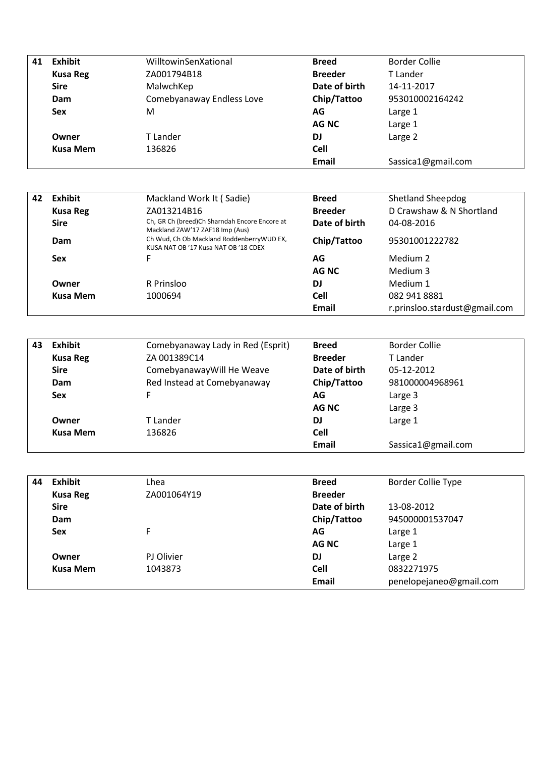| 41 | <b>Exhibit</b>  | WilltowinSenXational      | <b>Breed</b>   | <b>Border Collie</b> |
|----|-----------------|---------------------------|----------------|----------------------|
|    | <b>Kusa Reg</b> | ZA001794B18               | <b>Breeder</b> | T Lander             |
|    | <b>Sire</b>     | MalwchKep                 | Date of birth  | 14-11-2017           |
|    | Dam             | Comebyanaway Endless Love | Chip/Tattoo    | 953010002164242      |
|    | <b>Sex</b>      | M                         | AG             | Large 1              |
|    |                 |                           | <b>AG NC</b>   | Large 1              |
|    | Owner           | T Lander                  | <b>DJ</b>      | Large 2              |
|    | <b>Kusa Mem</b> | 136826                    | <b>Cell</b>    |                      |
|    |                 |                           | Email          | Sassica1@gmail.com   |

| 42 | Exhibit         | Mackland Work It (Sadie)                                                           | <b>Breed</b>   | <b>Shetland Sheepdog</b>      |
|----|-----------------|------------------------------------------------------------------------------------|----------------|-------------------------------|
|    | <b>Kusa Reg</b> | ZA013214B16                                                                        | <b>Breeder</b> | D Crawshaw & N Shortland      |
|    | <b>Sire</b>     | Ch, GR Ch (breed)Ch Sharndah Encore Encore at<br>Mackland ZAW'17 ZAF18 Imp (Aus)   | Date of birth  | 04-08-2016                    |
|    | Dam             | Ch Wud, Ch Ob Mackland Roddenberry WUD EX,<br>KUSA NAT OB '17 Kusa NAT OB '18 CDEX | Chip/Tattoo    | 95301001222782                |
|    | <b>Sex</b>      | F                                                                                  | AG             | Medium 2                      |
|    |                 |                                                                                    | AG NC          | Medium 3                      |
|    | Owner           | R Prinsloo                                                                         | DJ             | Medium 1                      |
|    | Kusa Mem        | 1000694                                                                            | <b>Cell</b>    | 082 941 8881                  |
|    |                 |                                                                                    | Email          | r.prinsloo.stardust@gmail.com |

| 43 | Exhibit         | Comebyanaway Lady in Red (Esprit) | <b>Breed</b>   | <b>Border Collie</b> |
|----|-----------------|-----------------------------------|----------------|----------------------|
|    | <b>Kusa Reg</b> | ZA 001389C14                      | <b>Breeder</b> | T Lander             |
|    | <b>Sire</b>     | Comebyanaway Will He Weave        | Date of birth  | 05-12-2012           |
|    | Dam             | Red Instead at Comebyanaway       | Chip/Tattoo    | 981000004968961      |
|    | <b>Sex</b>      | F                                 | AG             | Large 3              |
|    |                 |                                   | AG NC          | Large 3              |
|    | Owner           | T Lander                          | DJ             | Large 1              |
|    | <b>Kusa Mem</b> | 136826                            | <b>Cell</b>    |                      |
|    |                 |                                   | Email          | Sassica1@gmail.com   |

| 44 | Exhibit         | Lhea        | <b>Breed</b>   | <b>Border Collie Type</b> |
|----|-----------------|-------------|----------------|---------------------------|
|    | <b>Kusa Reg</b> | ZA001064Y19 | <b>Breeder</b> |                           |
|    | <b>Sire</b>     |             | Date of birth  | 13-08-2012                |
|    | Dam             |             | Chip/Tattoo    | 945000001537047           |
|    | <b>Sex</b>      | F           | AG             | Large 1                   |
|    |                 |             | <b>AGNC</b>    | Large 1                   |
|    | Owner           | PJ Olivier  | <b>DJ</b>      | Large 2                   |
|    | <b>Kusa Mem</b> | 1043873     | <b>Cell</b>    | 0832271975                |
|    |                 |             | Email          | penelopejaneo@gmail.com   |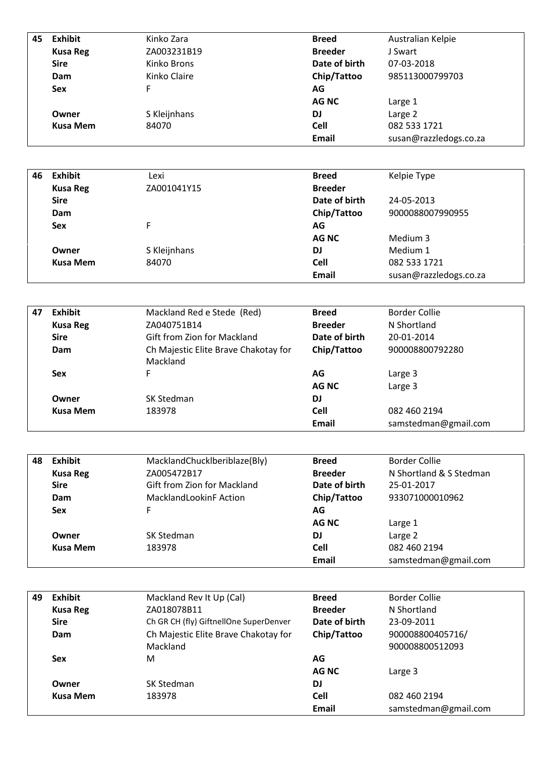| 45 | <b>Exhibit</b>  | Kinko Zara   | <b>Breed</b>   | Australian Kelpie      |
|----|-----------------|--------------|----------------|------------------------|
|    | <b>Kusa Reg</b> | ZA003231B19  | <b>Breeder</b> | J Swart                |
|    | <b>Sire</b>     | Kinko Brons  | Date of birth  | 07-03-2018             |
|    | Dam             | Kinko Claire | Chip/Tattoo    | 985113000799703        |
|    | <b>Sex</b>      | F            | AG             |                        |
|    |                 |              | AG NC          | Large 1                |
|    | Owner           | S Kleijnhans | <b>DJ</b>      | Large 2                |
|    | <b>Kusa Mem</b> | 84070        | <b>Cell</b>    | 082 533 1721           |
|    |                 |              | <b>Email</b>   | susan@razzledogs.co.za |

| 46 | <b>Exhibit</b>  | Lexi         | <b>Breed</b>   | Kelpie Type            |
|----|-----------------|--------------|----------------|------------------------|
|    | <b>Kusa Reg</b> | ZA001041Y15  | <b>Breeder</b> |                        |
|    | <b>Sire</b>     |              | Date of birth  | 24-05-2013             |
|    | Dam             |              | Chip/Tattoo    | 9000088007990955       |
|    | <b>Sex</b>      | F            | AG             |                        |
|    |                 |              | <b>AGNC</b>    | Medium 3               |
|    | Owner           | S Kleijnhans | <b>DJ</b>      | Medium 1               |
|    | <b>Kusa Mem</b> | 84070        | <b>Cell</b>    | 082 533 1721           |
|    |                 |              | <b>Email</b>   | susan@razzledogs.co.za |

| 47 | <b>Exhibit</b>  | Mackland Red e Stede (Red)                       | <b>Breed</b>   | Border Collie        |
|----|-----------------|--------------------------------------------------|----------------|----------------------|
|    | <b>Kusa Reg</b> | ZA040751B14                                      | <b>Breeder</b> | N Shortland          |
|    | <b>Sire</b>     | Gift from Zion for Mackland                      | Date of birth  | 20-01-2014           |
|    | Dam             | Ch Majestic Elite Brave Chakotay for<br>Mackland | Chip/Tattoo    | 900008800792280      |
|    | <b>Sex</b>      | F                                                | AG             | Large 3              |
|    |                 |                                                  | AG NC          | Large 3              |
|    | Owner           | SK Stedman                                       | DJ             |                      |
|    | Kusa Mem        | 183978                                           | <b>Cell</b>    | 082 460 2194         |
|    |                 |                                                  | Email          | samstedman@gmail.com |

| 48 | <b>Exhibit</b>  | MacklandChuckIberiblaze(Bly)  | <b>Breed</b>   | <b>Border Collie</b>    |
|----|-----------------|-------------------------------|----------------|-------------------------|
|    | <b>Kusa Reg</b> | ZA005472B17                   | <b>Breeder</b> | N Shortland & S Stedman |
|    | <b>Sire</b>     | Gift from Zion for Mackland   | Date of birth  | 25-01-2017              |
|    | Dam             | <b>MacklandLookinF Action</b> | Chip/Tattoo    | 933071000010962         |
|    | <b>Sex</b>      | F.                            | AG             |                         |
|    |                 |                               | AG NC          | Large 1                 |
|    | Owner           | SK Stedman                    | DJ             | Large 2                 |
|    | <b>Kusa Mem</b> | 183978                        | <b>Cell</b>    | 082 460 2194            |
|    |                 |                               | Email          | samstedman@gmail.com    |

| 49 | <b>Exhibit</b>  | Mackland Rev It Up (Cal)               | <b>Breed</b>   | Border Collie        |
|----|-----------------|----------------------------------------|----------------|----------------------|
|    | <b>Kusa Reg</b> | ZA018078B11                            | <b>Breeder</b> | N Shortland          |
|    | <b>Sire</b>     | Ch GR CH (fly) GiftnellOne SuperDenver | Date of birth  | 23-09-2011           |
|    | Dam             | Ch Majestic Elite Brave Chakotay for   | Chip/Tattoo    | 900008800405716/     |
|    |                 | <b>Mackland</b>                        |                | 900008800512093      |
|    | <b>Sex</b>      | M                                      | AG             |                      |
|    |                 |                                        | AG NC          | Large 3              |
|    | Owner           | SK Stedman                             | <b>DJ</b>      |                      |
|    | Kusa Mem        | 183978                                 | <b>Cell</b>    | 082 460 2194         |
|    |                 |                                        | <b>Email</b>   | samstedman@gmail.com |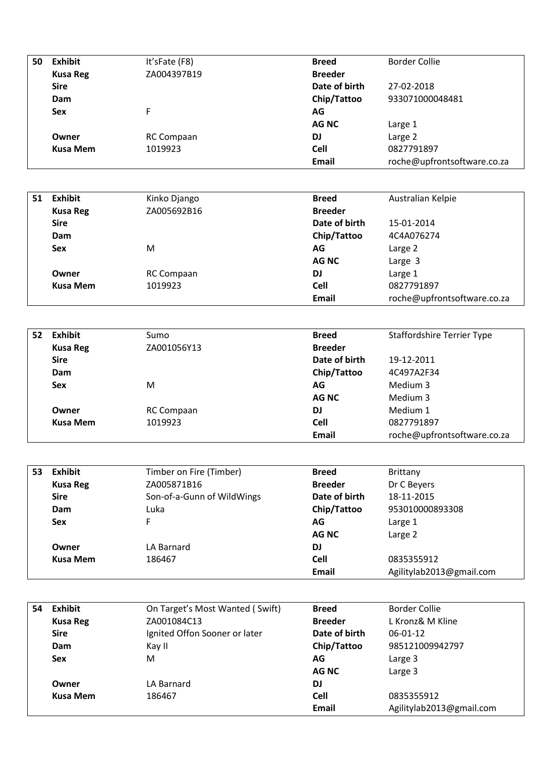| 50 | <b>Exhibit</b>  | It'sFate (F8) | <b>Breed</b>   | <b>Border Collie</b>        |
|----|-----------------|---------------|----------------|-----------------------------|
|    | <b>Kusa Reg</b> | ZA004397B19   | <b>Breeder</b> |                             |
|    | <b>Sire</b>     |               | Date of birth  | 27-02-2018                  |
|    | Dam             |               | Chip/Tattoo    | 933071000048481             |
|    | <b>Sex</b>      | F.            | AG             |                             |
|    |                 |               | <b>AG NC</b>   | Large 1                     |
|    | Owner           | RC Compaan    | <b>DJ</b>      | Large 2                     |
|    | <b>Kusa Mem</b> | 1019923       | <b>Cell</b>    | 0827791897                  |
|    |                 |               | <b>Email</b>   | roche@upfrontsoftware.co.za |
|    |                 |               |                |                             |

| 51 | <b>Exhibit</b>  | Kinko Django      | <b>Breed</b>   | Australian Kelpie           |
|----|-----------------|-------------------|----------------|-----------------------------|
|    | <b>Kusa Reg</b> | ZA005692B16       | <b>Breeder</b> |                             |
|    | <b>Sire</b>     |                   | Date of birth  | 15-01-2014                  |
|    | Dam             |                   | Chip/Tattoo    | 4C4A076274                  |
|    | <b>Sex</b>      | M                 | AG             | Large 2                     |
|    |                 |                   | <b>AG NC</b>   | Large 3                     |
|    | Owner           | <b>RC Compaan</b> | <b>DJ</b>      | Large 1                     |
|    | <b>Kusa Mem</b> | 1019923           | <b>Cell</b>    | 0827791897                  |
|    |                 |                   | <b>Email</b>   | roche@upfrontsoftware.co.za |

| 52 | <b>Exhibit</b>  | Sumo              | <b>Breed</b>   | <b>Staffordshire Terrier Type</b> |
|----|-----------------|-------------------|----------------|-----------------------------------|
|    | <b>Kusa Reg</b> | ZA001056Y13       | <b>Breeder</b> |                                   |
|    | <b>Sire</b>     |                   | Date of birth  | 19-12-2011                        |
|    | Dam             |                   | Chip/Tattoo    | 4C497A2F34                        |
|    | <b>Sex</b>      | M                 | AG             | Medium 3                          |
|    |                 |                   | <b>AGNC</b>    | Medium 3                          |
|    | Owner           | <b>RC Compaan</b> | <b>DJ</b>      | Medium 1                          |
|    | <b>Kusa Mem</b> | 1019923           | <b>Cell</b>    | 0827791897                        |
|    |                 |                   | Email          | roche@upfrontsoftware.co.za       |

| 53 | <b>Exhibit</b>  | Timber on Fire (Timber)    | <b>Breed</b>   | <b>Brittany</b>          |
|----|-----------------|----------------------------|----------------|--------------------------|
|    | <b>Kusa Reg</b> | ZA005871B16                | <b>Breeder</b> | Dr C Beyers              |
|    | <b>Sire</b>     | Son-of-a-Gunn of WildWings | Date of birth  | 18-11-2015               |
|    | Dam             | Luka                       | Chip/Tattoo    | 953010000893308          |
|    | <b>Sex</b>      | F                          | AG             | Large 1                  |
|    |                 |                            | AG NC          | Large 2                  |
|    | Owner           | LA Barnard                 | DJ             |                          |
|    | <b>Kusa Mem</b> | 186467                     | <b>Cell</b>    | 0835355912               |
|    |                 |                            | Email          | Agilitylab2013@gmail.com |

| 54 | Exhibit         | On Target's Most Wanted (Swift) | <b>Breed</b>   | Border Collie            |
|----|-----------------|---------------------------------|----------------|--------------------------|
|    | <b>Kusa Reg</b> | ZA001084C13                     | <b>Breeder</b> | L Kronz& M Kline         |
|    | <b>Sire</b>     | Ignited Offon Sooner or later   | Date of birth  | $06-01-12$               |
|    | Dam             | Kay II                          | Chip/Tattoo    | 985121009942797          |
|    | <b>Sex</b>      | м                               | AG             | Large 3                  |
|    |                 |                                 | AG NC          | Large 3                  |
|    | Owner           | LA Barnard                      | <b>DJ</b>      |                          |
|    | Kusa Mem        | 186467                          | Cell           | 0835355912               |
|    |                 |                                 | Email          | Agilitylab2013@gmail.com |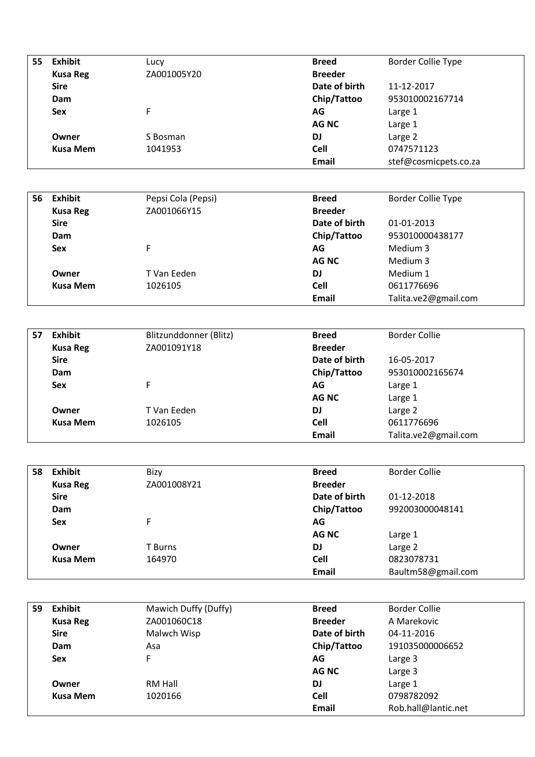| 55 | <b>Exhibit</b>  | Lucy        | <b>Breed</b>   | <b>Border Collie Type</b> |
|----|-----------------|-------------|----------------|---------------------------|
|    | <b>Kusa Reg</b> | ZA001005Y20 | <b>Breeder</b> |                           |
|    | <b>Sire</b>     |             | Date of birth  | 11-12-2017                |
|    | Dam             |             | Chip/Tattoo    | 953010002167714           |
|    | <b>Sex</b>      | F           | AG             | Large 1                   |
|    |                 |             | <b>AG NC</b>   | Large 1                   |
|    | Owner           | S Bosman    | <b>DJ</b>      | Large 2                   |
|    | <b>Kusa Mem</b> | 1041953     | <b>Cell</b>    | 0747571123                |
|    |                 |             | <b>Email</b>   | stef@cosmicpets.co.za     |

| 56 | <b>Exhibit</b>  | Pepsi Cola (Pepsi) | <b>Breed</b>   | <b>Border Collie Type</b> |
|----|-----------------|--------------------|----------------|---------------------------|
|    | <b>Kusa Reg</b> | ZA001066Y15        | <b>Breeder</b> |                           |
|    | <b>Sire</b>     |                    | Date of birth  | 01-01-2013                |
|    | Dam             |                    | Chip/Tattoo    | 953010000438177           |
|    | <b>Sex</b>      |                    | AG             | Medium 3                  |
|    |                 |                    | AG NC          | Medium 3                  |
|    | Owner           | T Van Eeden        | <b>DJ</b>      | Medium 1                  |
|    | <b>Kusa Mem</b> | 1026105            | <b>Cell</b>    | 0611776696                |
|    |                 |                    | <b>Email</b>   | Talita.ve2@gmail.com      |

| 57 | <b>Exhibit</b>  | Blitzunddonner (Blitz) | <b>Breed</b>   | <b>Border Collie</b> |
|----|-----------------|------------------------|----------------|----------------------|
|    | <b>Kusa Reg</b> | ZA001091Y18            | <b>Breeder</b> |                      |
|    | <b>Sire</b>     |                        | Date of birth  | 16-05-2017           |
|    | Dam             |                        | Chip/Tattoo    | 953010002165674      |
|    | <b>Sex</b>      | F                      | AG             | Large 1              |
|    |                 |                        | <b>AG NC</b>   | Large 1              |
|    | Owner           | T Van Eeden            | <b>DJ</b>      | Large 2              |
|    | <b>Kusa Mem</b> | 1026105                | <b>Cell</b>    | 0611776696           |
|    |                 |                        | Email          | Talita.ve2@gmail.com |

| 58 | <b>Exhibit</b>  | Bizy        | Breed          | <b>Border Collie</b> |
|----|-----------------|-------------|----------------|----------------------|
|    | <b>Kusa Reg</b> | ZA001008Y21 | <b>Breeder</b> |                      |
|    | <b>Sire</b>     |             | Date of birth  | 01-12-2018           |
|    | Dam             |             | Chip/Tattoo    | 992003000048141      |
|    | <b>Sex</b>      | F           | AG             |                      |
|    |                 |             | <b>AG NC</b>   | Large 1              |
|    | Owner           | T Burns     | <b>DJ</b>      | Large 2              |
|    | <b>Kusa Mem</b> | 164970      | <b>Cell</b>    | 0823078731           |
|    |                 |             | Email          | Baultm58@gmail.com   |

| 59 | <b>Exhibit</b>  | Mawich Duffy (Duffy) | <b>Breed</b>   | <b>Border Collie</b> |
|----|-----------------|----------------------|----------------|----------------------|
|    | <b>Kusa Reg</b> | ZA001060C18          | <b>Breeder</b> | A Marekovic          |
|    | <b>Sire</b>     | Malwch Wisp          | Date of birth  | 04-11-2016           |
|    | Dam             | Asa                  | Chip/Tattoo    | 191035000006652      |
|    | <b>Sex</b>      | F                    | AG             | Large 3              |
|    |                 |                      | AG NC          | Large 3              |
|    | Owner           | RM Hall              | <b>DJ</b>      | Large 1              |
|    | <b>Kusa Mem</b> | 1020166              | <b>Cell</b>    | 0798782092           |
|    |                 |                      | <b>Email</b>   | Rob.hall@lantic.net  |
|    |                 |                      |                |                      |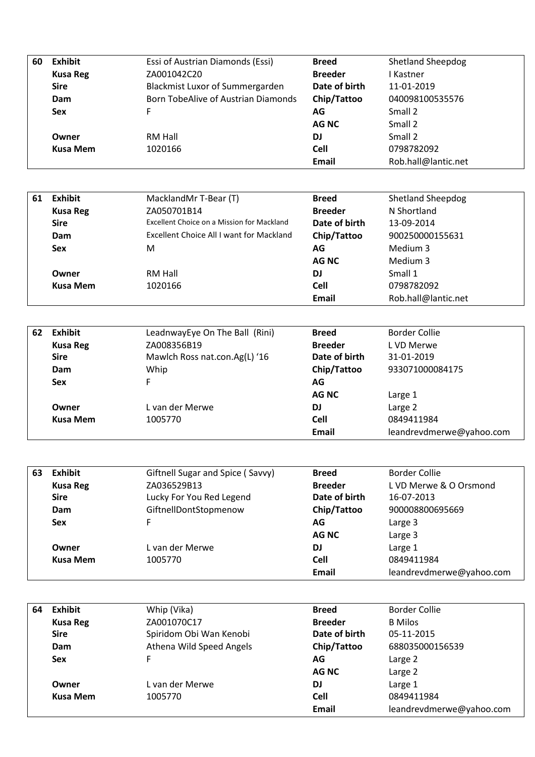| <b>Exhibit</b>  | Essi of Austrian Diamonds (Essi)    | <b>Breed</b>   | <b>Shetland Sheepdog</b> |
|-----------------|-------------------------------------|----------------|--------------------------|
| <b>Kusa Reg</b> | ZA001042C20                         | <b>Breeder</b> | I Kastner                |
| <b>Sire</b>     | Blackmist Luxor of Summergarden     | Date of birth  | 11-01-2019               |
| Dam             | Born TobeAlive of Austrian Diamonds | Chip/Tattoo    | 040098100535576          |
| <b>Sex</b>      | F.                                  | AG             | Small 2                  |
|                 |                                     | AG NC          | Small 2                  |
| Owner           | RM Hall                             | DJ             | Small 2                  |
| <b>Kusa Mem</b> | 1020166                             | Cell           | 0798782092               |
|                 |                                     | <b>Email</b>   | Rob.hall@lantic.net      |
|                 |                                     |                |                          |

| 61 | <b>Exhibit</b>  | MacklandMr T-Bear (T)                      | <b>Breed</b>   | <b>Shetland Sheepdog</b> |
|----|-----------------|--------------------------------------------|----------------|--------------------------|
|    | <b>Kusa Reg</b> | ZA050701B14                                | <b>Breeder</b> | N Shortland              |
|    | <b>Sire</b>     | Excellent Choice on a Mission for Mackland | Date of birth  | 13-09-2014               |
|    | Dam             | Excellent Choice All I want for Mackland   | Chip/Tattoo    | 900250000155631          |
|    | <b>Sex</b>      | M                                          | AG             | Medium 3                 |
|    |                 |                                            | AG NC          | Medium 3                 |
|    | Owner           | RM Hall                                    | <b>DJ</b>      | Small 1                  |
|    | Kusa Mem        | 1020166                                    | <b>Cell</b>    | 0798782092               |
|    |                 |                                            | Email          | Rob.hall@lantic.net      |

| 62 | <b>Exhibit</b>  | LeadnwayEye On The Ball (Rini) | <b>Breed</b>   | Border Collie            |
|----|-----------------|--------------------------------|----------------|--------------------------|
|    | <b>Kusa Reg</b> | ZA008356B19                    | <b>Breeder</b> | L VD Merwe               |
|    | <b>Sire</b>     | Mawlch Ross nat.con.Ag(L) '16  | Date of birth  | 31-01-2019               |
|    | Dam             | Whip                           | Chip/Tattoo    | 933071000084175          |
|    | Sex             | F                              | AG             |                          |
|    |                 |                                | <b>AGNC</b>    | Large 1                  |
|    | Owner           | L van der Merwe                | DJ             | Large 2                  |
|    | <b>Kusa Mem</b> | 1005770                        | <b>Cell</b>    | 0849411984               |
|    |                 |                                | <b>Email</b>   | leandrevdmerwe@yahoo.com |

| 63 | <b>Exhibit</b>  | Giftnell Sugar and Spice (Savvy) | <b>Breed</b>   | <b>Border Collie</b>     |
|----|-----------------|----------------------------------|----------------|--------------------------|
|    | <b>Kusa Reg</b> | ZA036529B13                      | <b>Breeder</b> | L VD Merwe & O Orsmond   |
|    | <b>Sire</b>     | Lucky For You Red Legend         | Date of birth  | 16-07-2013               |
|    | Dam             | GiftnellDontStopmenow            | Chip/Tattoo    | 900008800695669          |
|    | <b>Sex</b>      | F                                | AG             | Large 3                  |
|    |                 |                                  | <b>AG NC</b>   | Large 3                  |
|    | Owner           | L van der Merwe                  | DJ             | Large 1                  |
|    | Kusa Mem        | 1005770                          | <b>Cell</b>    | 0849411984               |
|    |                 |                                  | Email          | leandrevdmerwe@yahoo.com |

| 64 | Exhibit         | Whip (Vika)              | <b>Breed</b>   | <b>Border Collie</b>     |
|----|-----------------|--------------------------|----------------|--------------------------|
|    | <b>Kusa Reg</b> | ZA001070C17              | <b>Breeder</b> | <b>B</b> Milos           |
|    | <b>Sire</b>     | Spiridom Obi Wan Kenobi  | Date of birth  | 05-11-2015               |
|    | Dam             | Athena Wild Speed Angels | Chip/Tattoo    | 688035000156539          |
|    | <b>Sex</b>      | F                        | AG             | Large 2                  |
|    |                 |                          | AG NC          | Large 2                  |
|    | Owner           | L van der Merwe          | <b>DJ</b>      | Large 1                  |
|    | Kusa Mem        | 1005770                  | Cell           | 0849411984               |
|    |                 |                          | Email          | leandrevdmerwe@yahoo.com |
|    |                 |                          |                |                          |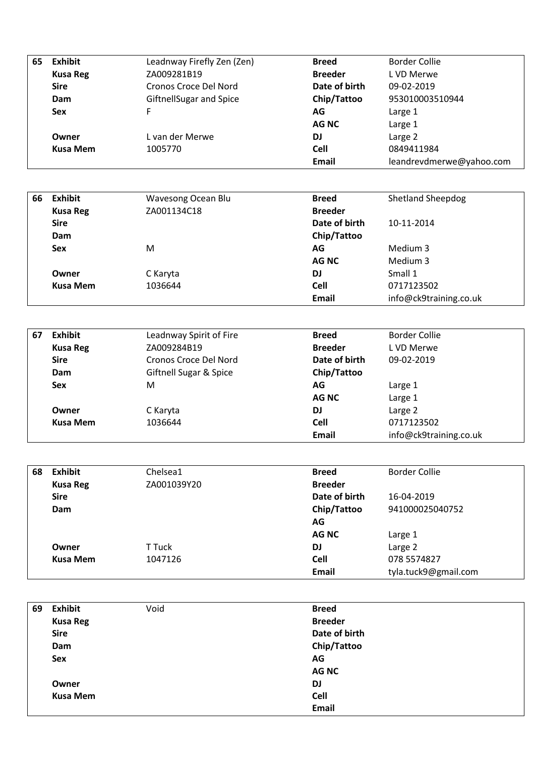| 65 | Exhibit         | Leadnway Firefly Zen (Zen)     | <b>Breed</b>   | <b>Border Collie</b>     |
|----|-----------------|--------------------------------|----------------|--------------------------|
|    | <b>Kusa Reg</b> | ZA009281B19                    | <b>Breeder</b> | L VD Merwe               |
|    | <b>Sire</b>     | Cronos Croce Del Nord          | Date of birth  | 09-02-2019               |
|    | Dam             | <b>GiftnellSugar and Spice</b> | Chip/Tattoo    | 953010003510944          |
|    | <b>Sex</b>      | F.                             | AG             | Large 1                  |
|    |                 |                                | <b>AGNC</b>    | Large 1                  |
|    | Owner           | L van der Merwe                | DJ             | Large 2                  |
|    | <b>Kusa Mem</b> | 1005770                        | <b>Cell</b>    | 0849411984               |
|    |                 |                                | Email          | leandrevdmerwe@yahoo.com |

| 66 | Exhibit         | Wavesong Ocean Blu | <b>Breed</b>   | <b>Shetland Sheepdog</b> |
|----|-----------------|--------------------|----------------|--------------------------|
|    | <b>Kusa Reg</b> | ZA001134C18        | <b>Breeder</b> |                          |
|    | <b>Sire</b>     |                    | Date of birth  | 10-11-2014               |
|    | Dam             |                    | Chip/Tattoo    |                          |
|    | <b>Sex</b>      | M                  | AG             | Medium 3                 |
|    |                 |                    | <b>AGNC</b>    | Medium 3                 |
|    | Owner           | C Karyta           | <b>DJ</b>      | Small 1                  |
|    | Kusa Mem        | 1036644            | <b>Cell</b>    | 0717123502               |
|    |                 |                    | Email          | info@ck9training.co.uk   |

| 67 | <b>Exhibit</b>  | Leadnway Spirit of Fire | <b>Breed</b>   | <b>Border Collie</b>   |
|----|-----------------|-------------------------|----------------|------------------------|
|    | <b>Kusa Reg</b> | ZA009284B19             | <b>Breeder</b> | L VD Merwe             |
|    | <b>Sire</b>     | Cronos Croce Del Nord   | Date of birth  | 09-02-2019             |
|    | Dam             | Giftnell Sugar & Spice  | Chip/Tattoo    |                        |
|    | <b>Sex</b>      | M                       | AG             | Large 1                |
|    |                 |                         | <b>AGNC</b>    | Large 1                |
|    | Owner           | C Karyta                | <b>DJ</b>      | Large 2                |
|    | <b>Kusa Mem</b> | 1036644                 | <b>Cell</b>    | 0717123502             |
|    |                 |                         | Email          | info@ck9training.co.uk |

| 68 | <b>Exhibit</b>  | Chelsea1    | <b>Breed</b>   | <b>Border Collie</b> |
|----|-----------------|-------------|----------------|----------------------|
|    | <b>Kusa Reg</b> | ZA001039Y20 | <b>Breeder</b> |                      |
|    | <b>Sire</b>     |             | Date of birth  | 16-04-2019           |
|    | Dam             |             | Chip/Tattoo    | 941000025040752      |
|    |                 |             | AG             |                      |
|    |                 |             | <b>AG NC</b>   | Large 1              |
|    | Owner           | T Tuck      | <b>DJ</b>      | Large 2              |
|    | <b>Kusa Mem</b> | 1047126     | <b>Cell</b>    | 078 5574827          |
|    |                 |             | Email          | tyla.tuck9@gmail.com |

| 69 | Exhibit         | Void | <b>Breed</b>   |
|----|-----------------|------|----------------|
|    | <b>Kusa Reg</b> |      | <b>Breeder</b> |
|    | <b>Sire</b>     |      | Date of birth  |
|    | Dam             |      | Chip/Tattoo    |
|    | Sex             |      | AG             |
|    |                 |      | <b>AG NC</b>   |
|    | Owner           |      | DJ             |
|    | <b>Kusa Mem</b> |      | Cell           |
|    |                 |      | <b>Email</b>   |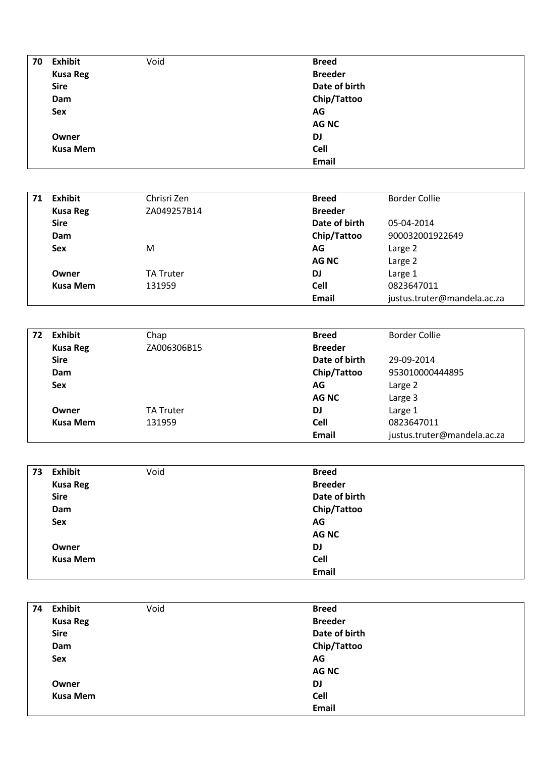| 70 | Exhibit         | Void | <b>Breed</b>   |
|----|-----------------|------|----------------|
|    | <b>Kusa Reg</b> |      | <b>Breeder</b> |
|    | <b>Sire</b>     |      | Date of birth  |
|    | Dam             |      | Chip/Tattoo    |
|    | Sex             |      | AG             |
|    |                 |      | <b>AGNC</b>    |
|    | Owner           |      | DJ             |
|    | <b>Kusa Mem</b> |      | Cell           |
|    |                 |      | <b>Email</b>   |
|    |                 |      |                |

| 71 | <b>Exhibit</b>  | Chrisri Zen      | <b>Breed</b>   | <b>Border Collie</b>        |
|----|-----------------|------------------|----------------|-----------------------------|
|    | <b>Kusa Reg</b> | ZA049257B14      | <b>Breeder</b> |                             |
|    | <b>Sire</b>     |                  | Date of birth  | 05-04-2014                  |
|    | Dam             |                  | Chip/Tattoo    | 900032001922649             |
|    | <b>Sex</b>      | M                | AG             | Large 2                     |
|    |                 |                  | <b>AGNC</b>    | Large 2                     |
|    | Owner           | <b>TA Truter</b> | <b>DJ</b>      | Large 1                     |
|    | <b>Kusa Mem</b> | 131959           | <b>Cell</b>    | 0823647011                  |
|    |                 |                  | <b>Email</b>   | justus.truter@mandela.ac.za |

| 72 | <b>Exhibit</b>  | Chap             | <b>Breed</b>   | <b>Border Collie</b>        |
|----|-----------------|------------------|----------------|-----------------------------|
|    | <b>Kusa Reg</b> | ZA006306B15      | <b>Breeder</b> |                             |
|    | <b>Sire</b>     |                  | Date of birth  | 29-09-2014                  |
|    | Dam             |                  | Chip/Tattoo    | 953010000444895             |
|    | <b>Sex</b>      |                  | AG             | Large 2                     |
|    |                 |                  | <b>AG NC</b>   | Large 3                     |
|    | Owner           | <b>TA Truter</b> | <b>DJ</b>      | Large 1                     |
|    | <b>Kusa Mem</b> | 131959           | <b>Cell</b>    | 0823647011                  |
|    |                 |                  | <b>Email</b>   | justus.truter@mandela.ac.za |

| 73 | <b>Exhibit</b>  | Void | <b>Breed</b>   |
|----|-----------------|------|----------------|
|    | <b>Kusa Reg</b> |      | <b>Breeder</b> |
|    | <b>Sire</b>     |      | Date of birth  |
|    | Dam             |      | Chip/Tattoo    |
|    | Sex             |      | AG             |
|    |                 |      | <b>AGNC</b>    |
|    | Owner           |      | DJ             |
|    | <b>Kusa Mem</b> |      | Cell           |
|    |                 |      | <b>Email</b>   |

| 74 | <b>Exhibit</b>  | Void | <b>Breed</b>   |
|----|-----------------|------|----------------|
|    | <b>Kusa Reg</b> |      | <b>Breeder</b> |
|    | <b>Sire</b>     |      | Date of birth  |
|    | Dam             |      | Chip/Tattoo    |
|    | Sex             |      | AG             |
|    |                 |      | <b>AGNC</b>    |
|    | Owner           |      | DJ             |
|    | <b>Kusa Mem</b> |      | Cell           |
|    |                 |      | <b>Email</b>   |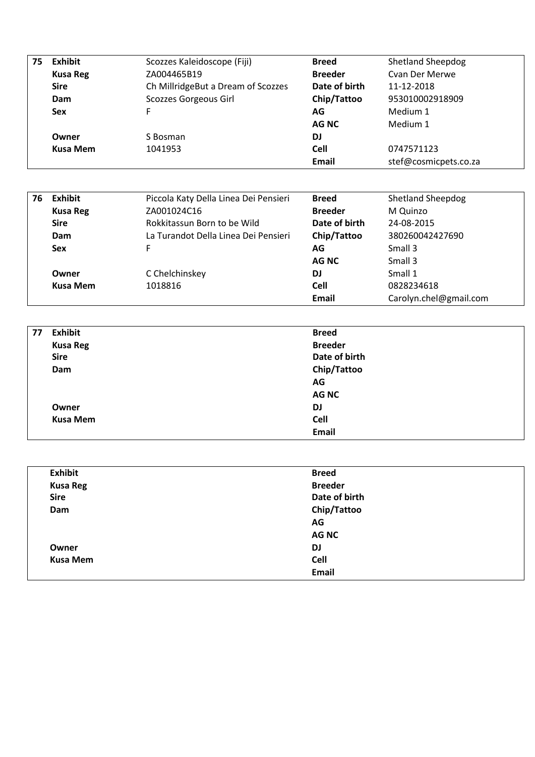| 75 | <b>Exhibit</b>  | Scozzes Kaleidoscope (Fiji)        | <b>Breed</b>   | <b>Shetland Sheepdog</b> |
|----|-----------------|------------------------------------|----------------|--------------------------|
|    | <b>Kusa Reg</b> | ZA004465B19                        | <b>Breeder</b> | Cyan Der Merwe           |
|    | <b>Sire</b>     | Ch MillridgeBut a Dream of Scozzes |                | 11-12-2018               |
|    | Dam             | Scozzes Gorgeous Girl              | Chip/Tattoo    | 953010002918909          |
|    | <b>Sex</b>      | F                                  | AG             | Medium 1                 |
|    |                 |                                    | AG NC          | Medium 1                 |
|    | Owner           | S Bosman                           | DJ             |                          |
|    | <b>Kusa Mem</b> | 1041953                            | Cell           | 0747571123               |
|    |                 |                                    | <b>Email</b>   | stef@cosmicpets.co.za    |
|    |                 |                                    |                |                          |

| 76    | <b>Exhibit</b>  | Piccola Katy Della Linea Dei Pensieri | <b>Breed</b>   | <b>Shetland Sheepdog</b> |  |
|-------|-----------------|---------------------------------------|----------------|--------------------------|--|
|       | <b>Kusa Reg</b> | ZA001024C16                           | <b>Breeder</b> | M Quinzo                 |  |
|       | <b>Sire</b>     | Rokkitassun Born to be Wild           | Date of birth  | 24-08-2015               |  |
|       | Dam             | La Turandot Della Linea Dei Pensieri  |                | 380260042427690          |  |
|       | <b>Sex</b>      | F.                                    | AG             | Small 3                  |  |
|       |                 |                                       | AG NC          | Small 3                  |  |
| Owner |                 | C Chelchinskey                        | DJ             | Small 1                  |  |
|       | <b>Kusa Mem</b> | 1018816                               | <b>Cell</b>    | 0828234618               |  |
|       |                 |                                       | Email          | Carolyn.chel@gmail.com   |  |

| 77 | <b>Exhibit</b>  | <b>Breed</b>   |
|----|-----------------|----------------|
|    | <b>Kusa Reg</b> | <b>Breeder</b> |
|    | <b>Sire</b>     | Date of birth  |
|    | Dam             | Chip/Tattoo    |
|    |                 | AG             |
|    |                 | <b>AG NC</b>   |
|    | Owner           | DJ             |
|    | <b>Kusa Mem</b> | Cell           |
|    |                 | <b>Email</b>   |

| <b>Exhibit</b>  | <b>Breed</b>   |
|-----------------|----------------|
| <b>Kusa Reg</b> | <b>Breeder</b> |
| <b>Sire</b>     | Date of birth  |
| Dam             | Chip/Tattoo    |
|                 | AG             |
|                 | <b>AGNC</b>    |
| Owner           | DJ             |
| <b>Kusa Mem</b> | Cell           |
|                 | <b>Email</b>   |